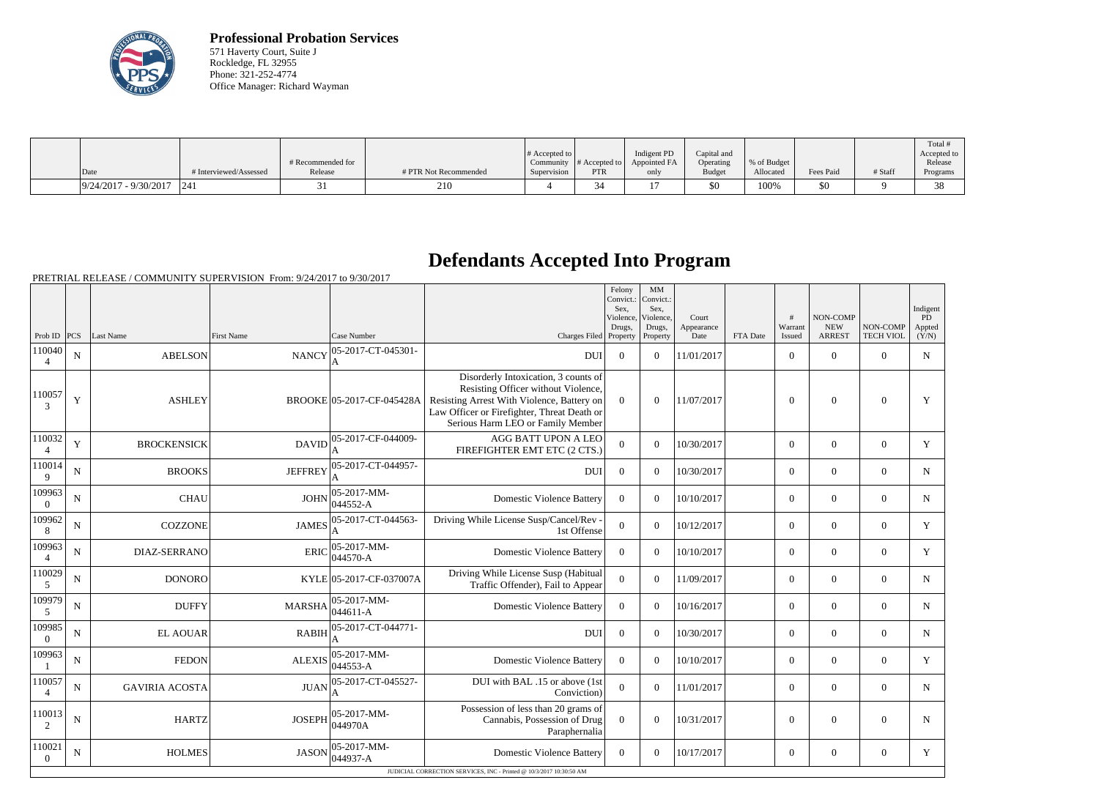

**Professional Probation Services** 571 Haverty Court, Suite J Rockledge, FL 32955 Phone: 321-252-4774 Office Manager: Richard Wayman

|                             |                        | # Recommended for |                       | # Accepted to $\vert$ |            | Indigent PD<br>Community $ #$ Accepted to $ $ Appointed FA | Capital and<br>Operating | % of Budget |           |         | Total<br>Accepted to<br>Release |
|-----------------------------|------------------------|-------------------|-----------------------|-----------------------|------------|------------------------------------------------------------|--------------------------|-------------|-----------|---------|---------------------------------|
| Date                        | # Interviewed/Assessed | Release           | # PTR Not Recommended | Supervision           | <b>PTR</b> | only                                                       | <b>Budget</b>            | Allocated   | Fees Paid | # Staff | Programs                        |
| $9/24/2017 - 9/30/2017$ 241 |                        |                   | 210                   |                       | .34        |                                                            | \$0                      | 100%        | \$0       |         | $\sim$                          |

## **Defendants Accepted Into Program**

PRETRIAL RELEASE / COMMUNITY SUPERVISION From: 9/24/2017 to 9/30/2017

| Warrant<br><b>NEW</b><br>NON-COMP<br>Drugs,<br>Drugs,<br>Appearance<br><b>TECH VIOL</b><br>Prob ID<br>PCS<br>Last Name<br><b>First Name</b><br>Case Number<br>Charges Filed Property<br><b>ARREST</b><br>Property<br>Date<br>FTA Date<br>Issued<br>05-2017-CT-045301-<br>110040<br><b>ABELSON</b><br><b>NANCY</b><br>$\overline{0}$<br>$\theta$<br>$\theta$<br>N<br><b>DUI</b><br>$\overline{0}$<br>$\theta$<br>11/01/2017<br>4<br>Disorderly Intoxication, 3 counts of<br>Resisting Officer without Violence,<br>110057<br>Y<br><b>ASHLEY</b><br>Resisting Arrest With Violence, Battery on<br>$\overline{0}$<br>$\mathbf{0}$<br>BROOKE 05-2017-CF-045428A<br>$\Omega$<br>11/07/2017<br>$\Omega$<br>$\theta$<br>$\mathcal{F}$<br>Law Officer or Firefighter, Threat Death or<br>Serious Harm LEO or Family Member<br>110032<br>AGG BATT UPON A LEO<br>05-2017-CF-044009-<br>Y<br><b>BROCKENSICK</b><br><b>DAVID</b><br>$\overline{0}$<br>10/30/2017<br>$\mathbf{0}$<br>$\Omega$<br>$\theta$<br>$\overline{0}$<br>FIREFIGHTER EMT ETC (2 CTS.)<br>$\overline{4}$<br>05-2017-CT-044957-<br>110014<br><b>BROOKS</b><br><b>JEFFREY</b><br>$\overline{0}$<br>$\mathbf{0}$<br>$\mathbf{0}$<br>$\mathbf{0}$<br>N<br><b>DUI</b><br>$\Omega$<br>10/30/2017<br>9<br>05-2017-MM-<br>109963<br><b>JOHN</b><br><b>CHAU</b><br><b>Domestic Violence Battery</b><br>N<br>$\theta$<br>$\theta$<br>10/10/2017<br>$\overline{0}$<br>$\theta$<br>$\theta$<br>044552-A<br>$\Omega$<br>05-2017-CT-044563-<br>Driving While License Susp/Cancel/Rev -<br>109962<br><b>COZZONE</b><br><b>JAMES</b><br>$\overline{0}$<br>10/12/2017<br>$\overline{0}$<br>$\theta$<br>$\theta$<br>N<br>$\theta$<br>1st Offense<br>8<br>109963<br>05-2017-MM-<br><b>ERIC</b><br><b>Domestic Violence Battery</b><br>$\Omega$<br>$\overline{0}$<br>$\theta$<br>$\theta$<br>N<br><b>DIAZ-SERRANO</b><br>$\Omega$<br>10/10/2017<br>044570-A<br>$\overline{4}$<br>110029<br>Driving While License Susp (Habitual<br>$\overline{0}$<br><b>DONORO</b><br>KYLE 05-2017-CF-037007A<br>$\theta$<br>11/09/2017<br>$\overline{0}$<br>$\theta$<br>$\theta$<br>N<br>Traffic Offender), Fail to Appear<br>5<br>109979<br>05-2017-MM-<br><b>DUFFY</b><br>$\Omega$<br>$\theta$<br>10/16/2017<br>$\overline{0}$<br>$\theta$<br>$\theta$<br>$\mathbf N$<br><b>MARSHA</b><br><b>Domestic Violence Battery</b><br>044611-A<br>5<br>109985<br>05-2017-CT-044771-<br>${\bf N}$<br><b>EL AOUAR</b><br><b>RABIH</b><br><b>DUI</b><br>$\overline{0}$<br>$\theta$<br>10/30/2017<br>$\theta$<br>$\theta$<br>$\theta$<br>$\overline{0}$<br>109963<br>05-2017-MM-<br><b>FEDON</b><br><b>ALEXIS</b><br><b>Domestic Violence Battery</b><br>$\Omega$<br>10/10/2017<br>$\theta$<br>$\theta$<br>N<br>$\theta$<br>$\theta$<br>044553-A<br>110057<br>05-2017-CT-045527-<br>DUI with BAL .15 or above (1st<br><b>JUAN</b><br>$\overline{0}$<br>N<br><b>GAVIRIA ACOSTA</b><br>$\boldsymbol{0}$<br>11/01/2017<br>$\boldsymbol{0}$<br>$\boldsymbol{0}$<br>$\mathbf{0}$<br>Conviction)<br>$\overline{4}$<br>Possession of less than 20 grams of<br>05-2017-MM-<br>110013<br><b>HARTZ</b><br><b>JOSEPH</b><br>$\overline{0}$<br>$\overline{0}$<br>$\mathbf N$<br>Cannabis, Possession of Drug<br>$\Omega$<br>10/31/2017<br>$\boldsymbol{0}$<br>$\theta$<br>044970A<br>2<br>Paraphernalia<br>110021<br>05-2017-MM-<br><b>JASON</b><br><b>Domestic Violence Battery</b><br>N<br><b>HOLMES</b><br>10/17/2017<br>$\boldsymbol{0}$<br>$\boldsymbol{0}$<br>$\overline{0}$<br>$\overline{0}$<br>$\theta$<br>044937-A<br>$\theta$ |  |  |  | Felony<br>Convict.:<br>Sex,<br>Violence, | MM<br>Convict.:<br>Sex,<br>Violence, | Court | # | NON-COMP | Indigent<br>PD  |
|-----------------------------------------------------------------------------------------------------------------------------------------------------------------------------------------------------------------------------------------------------------------------------------------------------------------------------------------------------------------------------------------------------------------------------------------------------------------------------------------------------------------------------------------------------------------------------------------------------------------------------------------------------------------------------------------------------------------------------------------------------------------------------------------------------------------------------------------------------------------------------------------------------------------------------------------------------------------------------------------------------------------------------------------------------------------------------------------------------------------------------------------------------------------------------------------------------------------------------------------------------------------------------------------------------------------------------------------------------------------------------------------------------------------------------------------------------------------------------------------------------------------------------------------------------------------------------------------------------------------------------------------------------------------------------------------------------------------------------------------------------------------------------------------------------------------------------------------------------------------------------------------------------------------------------------------------------------------------------------------------------------------------------------------------------------------------------------------------------------------------------------------------------------------------------------------------------------------------------------------------------------------------------------------------------------------------------------------------------------------------------------------------------------------------------------------------------------------------------------------------------------------------------------------------------------------------------------------------------------------------------------------------------------------------------------------------------------------------------------------------------------------------------------------------------------------------------------------------------------------------------------------------------------------------------------------------------------------------------------------------------------------------------------------------------------------------------------------------------------------------------------------------------------------------------------------------------------------------------------------------------------------------------------------------------------------------------------------------------------------------------------------------------------------------------------------------------------------------------------------------------------------------------------------|--|--|--|------------------------------------------|--------------------------------------|-------|---|----------|-----------------|
|                                                                                                                                                                                                                                                                                                                                                                                                                                                                                                                                                                                                                                                                                                                                                                                                                                                                                                                                                                                                                                                                                                                                                                                                                                                                                                                                                                                                                                                                                                                                                                                                                                                                                                                                                                                                                                                                                                                                                                                                                                                                                                                                                                                                                                                                                                                                                                                                                                                                                                                                                                                                                                                                                                                                                                                                                                                                                                                                                                                                                                                                                                                                                                                                                                                                                                                                                                                                                                                                                                                                         |  |  |  |                                          |                                      |       |   |          | Appted<br>(Y/N) |
|                                                                                                                                                                                                                                                                                                                                                                                                                                                                                                                                                                                                                                                                                                                                                                                                                                                                                                                                                                                                                                                                                                                                                                                                                                                                                                                                                                                                                                                                                                                                                                                                                                                                                                                                                                                                                                                                                                                                                                                                                                                                                                                                                                                                                                                                                                                                                                                                                                                                                                                                                                                                                                                                                                                                                                                                                                                                                                                                                                                                                                                                                                                                                                                                                                                                                                                                                                                                                                                                                                                                         |  |  |  |                                          |                                      |       |   |          | $\mathbf N$     |
|                                                                                                                                                                                                                                                                                                                                                                                                                                                                                                                                                                                                                                                                                                                                                                                                                                                                                                                                                                                                                                                                                                                                                                                                                                                                                                                                                                                                                                                                                                                                                                                                                                                                                                                                                                                                                                                                                                                                                                                                                                                                                                                                                                                                                                                                                                                                                                                                                                                                                                                                                                                                                                                                                                                                                                                                                                                                                                                                                                                                                                                                                                                                                                                                                                                                                                                                                                                                                                                                                                                                         |  |  |  |                                          |                                      |       |   |          | Y               |
|                                                                                                                                                                                                                                                                                                                                                                                                                                                                                                                                                                                                                                                                                                                                                                                                                                                                                                                                                                                                                                                                                                                                                                                                                                                                                                                                                                                                                                                                                                                                                                                                                                                                                                                                                                                                                                                                                                                                                                                                                                                                                                                                                                                                                                                                                                                                                                                                                                                                                                                                                                                                                                                                                                                                                                                                                                                                                                                                                                                                                                                                                                                                                                                                                                                                                                                                                                                                                                                                                                                                         |  |  |  |                                          |                                      |       |   |          | Y               |
|                                                                                                                                                                                                                                                                                                                                                                                                                                                                                                                                                                                                                                                                                                                                                                                                                                                                                                                                                                                                                                                                                                                                                                                                                                                                                                                                                                                                                                                                                                                                                                                                                                                                                                                                                                                                                                                                                                                                                                                                                                                                                                                                                                                                                                                                                                                                                                                                                                                                                                                                                                                                                                                                                                                                                                                                                                                                                                                                                                                                                                                                                                                                                                                                                                                                                                                                                                                                                                                                                                                                         |  |  |  |                                          |                                      |       |   |          | N               |
|                                                                                                                                                                                                                                                                                                                                                                                                                                                                                                                                                                                                                                                                                                                                                                                                                                                                                                                                                                                                                                                                                                                                                                                                                                                                                                                                                                                                                                                                                                                                                                                                                                                                                                                                                                                                                                                                                                                                                                                                                                                                                                                                                                                                                                                                                                                                                                                                                                                                                                                                                                                                                                                                                                                                                                                                                                                                                                                                                                                                                                                                                                                                                                                                                                                                                                                                                                                                                                                                                                                                         |  |  |  |                                          |                                      |       |   |          | N               |
|                                                                                                                                                                                                                                                                                                                                                                                                                                                                                                                                                                                                                                                                                                                                                                                                                                                                                                                                                                                                                                                                                                                                                                                                                                                                                                                                                                                                                                                                                                                                                                                                                                                                                                                                                                                                                                                                                                                                                                                                                                                                                                                                                                                                                                                                                                                                                                                                                                                                                                                                                                                                                                                                                                                                                                                                                                                                                                                                                                                                                                                                                                                                                                                                                                                                                                                                                                                                                                                                                                                                         |  |  |  |                                          |                                      |       |   |          | Y               |
|                                                                                                                                                                                                                                                                                                                                                                                                                                                                                                                                                                                                                                                                                                                                                                                                                                                                                                                                                                                                                                                                                                                                                                                                                                                                                                                                                                                                                                                                                                                                                                                                                                                                                                                                                                                                                                                                                                                                                                                                                                                                                                                                                                                                                                                                                                                                                                                                                                                                                                                                                                                                                                                                                                                                                                                                                                                                                                                                                                                                                                                                                                                                                                                                                                                                                                                                                                                                                                                                                                                                         |  |  |  |                                          |                                      |       |   |          | Y               |
|                                                                                                                                                                                                                                                                                                                                                                                                                                                                                                                                                                                                                                                                                                                                                                                                                                                                                                                                                                                                                                                                                                                                                                                                                                                                                                                                                                                                                                                                                                                                                                                                                                                                                                                                                                                                                                                                                                                                                                                                                                                                                                                                                                                                                                                                                                                                                                                                                                                                                                                                                                                                                                                                                                                                                                                                                                                                                                                                                                                                                                                                                                                                                                                                                                                                                                                                                                                                                                                                                                                                         |  |  |  |                                          |                                      |       |   |          | $\mathbf N$     |
|                                                                                                                                                                                                                                                                                                                                                                                                                                                                                                                                                                                                                                                                                                                                                                                                                                                                                                                                                                                                                                                                                                                                                                                                                                                                                                                                                                                                                                                                                                                                                                                                                                                                                                                                                                                                                                                                                                                                                                                                                                                                                                                                                                                                                                                                                                                                                                                                                                                                                                                                                                                                                                                                                                                                                                                                                                                                                                                                                                                                                                                                                                                                                                                                                                                                                                                                                                                                                                                                                                                                         |  |  |  |                                          |                                      |       |   |          | $\mathbf N$     |
|                                                                                                                                                                                                                                                                                                                                                                                                                                                                                                                                                                                                                                                                                                                                                                                                                                                                                                                                                                                                                                                                                                                                                                                                                                                                                                                                                                                                                                                                                                                                                                                                                                                                                                                                                                                                                                                                                                                                                                                                                                                                                                                                                                                                                                                                                                                                                                                                                                                                                                                                                                                                                                                                                                                                                                                                                                                                                                                                                                                                                                                                                                                                                                                                                                                                                                                                                                                                                                                                                                                                         |  |  |  |                                          |                                      |       |   |          | $\mathbf N$     |
|                                                                                                                                                                                                                                                                                                                                                                                                                                                                                                                                                                                                                                                                                                                                                                                                                                                                                                                                                                                                                                                                                                                                                                                                                                                                                                                                                                                                                                                                                                                                                                                                                                                                                                                                                                                                                                                                                                                                                                                                                                                                                                                                                                                                                                                                                                                                                                                                                                                                                                                                                                                                                                                                                                                                                                                                                                                                                                                                                                                                                                                                                                                                                                                                                                                                                                                                                                                                                                                                                                                                         |  |  |  |                                          |                                      |       |   |          | $\mathbf Y$     |
|                                                                                                                                                                                                                                                                                                                                                                                                                                                                                                                                                                                                                                                                                                                                                                                                                                                                                                                                                                                                                                                                                                                                                                                                                                                                                                                                                                                                                                                                                                                                                                                                                                                                                                                                                                                                                                                                                                                                                                                                                                                                                                                                                                                                                                                                                                                                                                                                                                                                                                                                                                                                                                                                                                                                                                                                                                                                                                                                                                                                                                                                                                                                                                                                                                                                                                                                                                                                                                                                                                                                         |  |  |  |                                          |                                      |       |   |          | N               |
|                                                                                                                                                                                                                                                                                                                                                                                                                                                                                                                                                                                                                                                                                                                                                                                                                                                                                                                                                                                                                                                                                                                                                                                                                                                                                                                                                                                                                                                                                                                                                                                                                                                                                                                                                                                                                                                                                                                                                                                                                                                                                                                                                                                                                                                                                                                                                                                                                                                                                                                                                                                                                                                                                                                                                                                                                                                                                                                                                                                                                                                                                                                                                                                                                                                                                                                                                                                                                                                                                                                                         |  |  |  |                                          |                                      |       |   |          | N               |
| JUDICIAL CORRECTION SERVICES, INC - Printed @ 10/3/2017 10:30:50 AM                                                                                                                                                                                                                                                                                                                                                                                                                                                                                                                                                                                                                                                                                                                                                                                                                                                                                                                                                                                                                                                                                                                                                                                                                                                                                                                                                                                                                                                                                                                                                                                                                                                                                                                                                                                                                                                                                                                                                                                                                                                                                                                                                                                                                                                                                                                                                                                                                                                                                                                                                                                                                                                                                                                                                                                                                                                                                                                                                                                                                                                                                                                                                                                                                                                                                                                                                                                                                                                                     |  |  |  |                                          |                                      |       |   |          | Y               |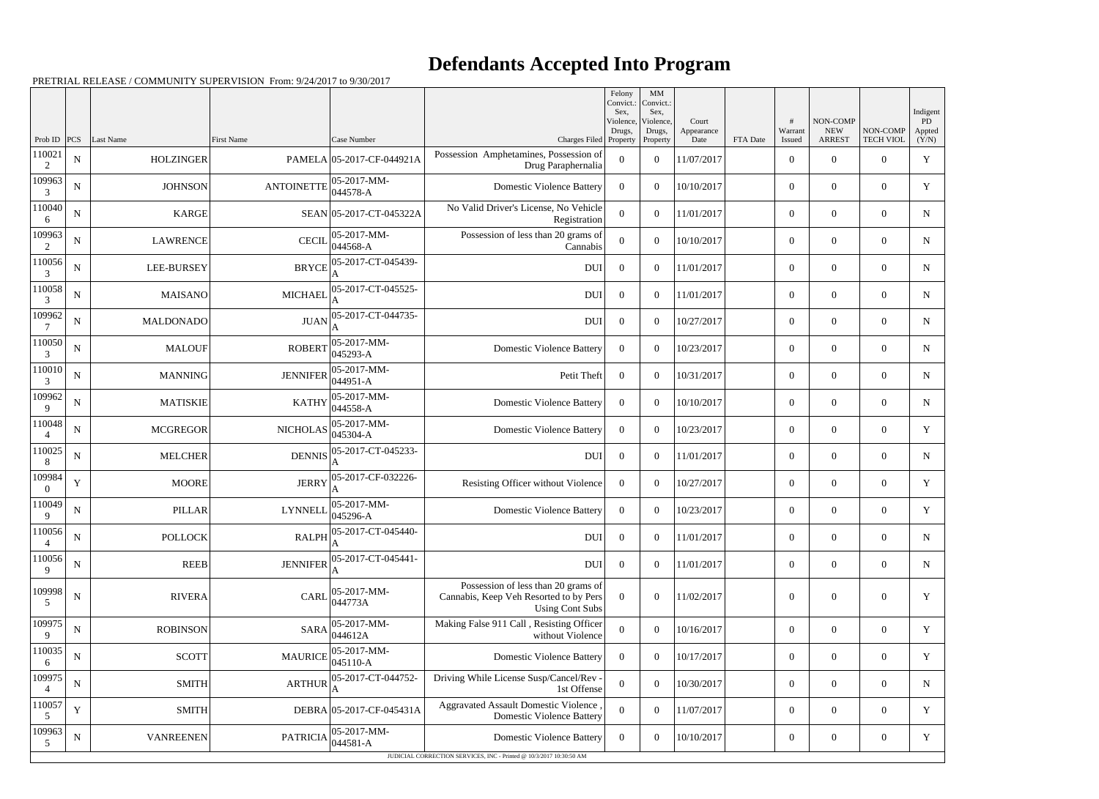## **Defendants Accepted Into Program**

PRETRIAL RELEASE / COMMUNITY SUPERVISION From: 9/24/2017 to 9/30/2017

|                           |             |                               |                   |                                          |                                                                                                         | Felony<br>Convict.:<br>Sex. | MM<br>Convict.:<br>Sex,    |                     |          |                          |                           |                              | Indigent      |
|---------------------------|-------------|-------------------------------|-------------------|------------------------------------------|---------------------------------------------------------------------------------------------------------|-----------------------------|----------------------------|---------------------|----------|--------------------------|---------------------------|------------------------------|---------------|
|                           |             |                               |                   |                                          |                                                                                                         | Violence,<br>Drugs,         | Violence,<br>Drugs,        | Court<br>Appearance |          | #<br>Warrant             | NON-COMP<br><b>NEW</b>    | NON-COMP                     | PD.<br>Appted |
| Prob ID $ PCS $<br>110021 | ${\bf N}$   | Last Name<br><b>HOLZINGER</b> | <b>First Name</b> | Case Number<br>PAMELA 05-2017-CF-044921A | Charges Filed Property<br>Possession Amphetamines, Possession of                                        | $\overline{0}$              | Property<br>$\overline{0}$ | Date<br>11/07/2017  | FTA Date | Issued<br>$\overline{0}$ | <b>ARREST</b><br>$\theta$ | <b>TECH VIOL</b><br>$\Omega$ | (Y/N)<br>Y    |
| 2<br>109963               |             |                               | <b>ANTOINETTE</b> | 05-2017-MM-                              | Drug Paraphernalia<br><b>Domestic Violence Battery</b>                                                  |                             |                            |                     |          |                          |                           |                              |               |
| 3<br>110040               | ${\bf N}$   | <b>JOHNSON</b>                |                   | 044578-A                                 |                                                                                                         | $\Omega$                    | $\theta$                   | 10/10/2017          |          | $\overline{0}$           | $\overline{0}$            | $\Omega$                     | Y             |
| 6                         | ${\bf N}$   | <b>KARGE</b>                  |                   | SEAN 05-2017-CT-045322A                  | No Valid Driver's License, No Vehicle<br>Registration                                                   | $\theta$                    | $\theta$                   | 11/01/2017          |          | $\overline{0}$           | $\Omega$                  | $\theta$                     | N             |
| 109963<br>$\mathfrak{D}$  | ${\bf N}$   | <b>LAWRENCE</b>               | <b>CECIL</b>      | 05-2017-MM-<br>044568-A                  | Possession of less than 20 grams of<br>Cannabis                                                         | $\Omega$                    | $\theta$                   | 10/10/2017          |          | $\overline{0}$           | $\overline{0}$            | $\Omega$                     | N             |
| 110056<br>3               | ${\bf N}$   | <b>LEE-BURSEY</b>             | <b>BRYCE</b>      | 05-2017-CT-045439-                       | <b>DUI</b>                                                                                              | $\theta$                    | $\theta$                   | 11/01/2017          |          | $\overline{0}$           | $\theta$                  | $\theta$                     | N             |
| 110058<br>3               | ${\bf N}$   | MAISANO                       | <b>MICHAEL</b>    | 05-2017-CT-045525-                       | <b>DUI</b>                                                                                              | $\overline{0}$              | $\theta$                   | 11/01/2017          |          | $\overline{0}$           | $\overline{0}$            | $\Omega$                     | $\mathbf N$   |
| 109962<br>$\tau$          | ${\bf N}$   | MALDONADO                     | <b>JUAN</b>       | 05-2017-CT-044735-                       | <b>DUI</b>                                                                                              | $\overline{0}$              | $\theta$                   | 10/27/2017          |          | $\overline{0}$           | $\theta$                  | $\Omega$                     | N             |
| 110050<br>3               | ${\bf N}$   | <b>MALOUF</b>                 | <b>ROBERT</b>     | 05-2017-MM-<br>045293-A                  | <b>Domestic Violence Battery</b>                                                                        | $\Omega$                    | $\theta$                   | 10/23/2017          |          | $\overline{0}$           | $\overline{0}$            | $\Omega$                     | N             |
| 110010<br>3               | ${\bf N}$   | MANNING                       | <b>JENNIFER</b>   | 05-2017-MM-<br>044951-A                  | Petit Theft                                                                                             | $\theta$                    | $\theta$                   | 10/31/2017          |          | $\overline{0}$           | $\theta$                  | $\Omega$                     | N             |
| 109962<br>9               | ${\bf N}$   | <b>MATISKIE</b>               | <b>KATHY</b>      | 05-2017-MM-<br>044558-A                  | <b>Domestic Violence Battery</b>                                                                        | $\Omega$                    | $\theta$                   | 10/10/2017          |          | $\overline{0}$           | $\overline{0}$            | $\Omega$                     | $\mathbf N$   |
| 110048<br>4               | ${\bf N}$   | <b>MCGREGOR</b>               | <b>NICHOLAS</b>   | 05-2017-MM-<br>045304-A                  | <b>Domestic Violence Battery</b>                                                                        | $\overline{0}$              | $\theta$                   | 10/23/2017          |          | $\overline{0}$           | $\theta$                  | $\theta$                     | Y             |
| 110025<br>8               | ${\bf N}$   | <b>MELCHER</b>                | <b>DENNIS</b>     | 05-2017-CT-045233-                       | <b>DUI</b>                                                                                              | $\overline{0}$              | $\theta$                   | 11/01/2017          |          | $\overline{0}$           | $\overline{0}$            | $\Omega$                     | N             |
| 109984<br>$\Omega$        | $\mathbf Y$ | <b>MOORE</b>                  | <b>JERRY</b>      | 05-2017-CF-032226-                       | Resisting Officer without Violence                                                                      | $\theta$                    | $\theta$                   | 10/27/2017          |          | $\overline{0}$           | $\theta$                  | $\Omega$                     | Y             |
| 110049<br>9               | ${\bf N}$   | <b>PILLAR</b>                 | <b>LYNNELI</b>    | 05-2017-MM-<br>045296-A                  | <b>Domestic Violence Battery</b>                                                                        | $\Omega$                    | $\theta$                   | 10/23/2017          |          | $\overline{0}$           | $\overline{0}$            | $\Omega$                     | Y             |
| 110056<br>4               | ${\bf N}$   | <b>POLLOCK</b>                |                   | $RALPH$ $\Big _A^{05-2017}$ -CT-045440-  | <b>DUI</b>                                                                                              | $\overline{0}$              | $\boldsymbol{0}$           | 11/01/2017          |          | $\boldsymbol{0}$         | $\boldsymbol{0}$          | $\overline{0}$               | ${\bf N}$     |
| 110056<br>9               | ${\bf N}$   | REEB                          | <b>JENNIFER</b>   | 05-2017-CT-045441-                       | <b>DUI</b>                                                                                              | $\overline{0}$              | $\overline{0}$             | 11/01/2017          |          | $\boldsymbol{0}$         | $\boldsymbol{0}$          | $\overline{0}$               | N             |
| 109998<br>5               | ${\bf N}$   | <b>RIVERA</b>                 | <b>CARL</b>       | 05-2017-MM-<br>044773A                   | Possession of less than 20 grams of<br>Cannabis, Keep Veh Resorted to by Pers<br><b>Using Cont Subs</b> | $\overline{0}$              | $\overline{0}$             | 11/02/2017          |          | $\mathbf{0}$             | $\boldsymbol{0}$          | $\overline{0}$               | Y             |
| 109975<br>9               | ${\bf N}$   | <b>ROBINSON</b>               | <b>SARA</b>       | 05-2017-MM-<br>044612A                   | Making False 911 Call, Resisting Officer<br>without Violence                                            | $\theta$                    | $\overline{0}$             | 10/16/2017          |          | $\boldsymbol{0}$         | $\overline{0}$            | $\overline{0}$               | Y             |
| 110035<br>6               | ${\bf N}$   | SCOTT                         | <b>MAURICE</b>    | 05-2017-MM-<br>045110-A                  | <b>Domestic Violence Battery</b>                                                                        | $\overline{0}$              | $\overline{0}$             | 10/17/2017          |          | $\overline{0}$           | $\overline{0}$            | $\overline{0}$               | Y             |
| 109975                    | ${\bf N}$   | SMITH                         | <b>ARTHUR</b>     | 05-2017-CT-044752-                       | Driving While License Susp/Cancel/Rev -<br>1st Offense                                                  | $\overline{0}$              | $\overline{0}$             | 10/30/2017          |          | $\boldsymbol{0}$         | $\boldsymbol{0}$          | $\overline{0}$               | $\mathbf N$   |
| 110057<br>5               | $\mathbf Y$ | SMITH                         |                   | DEBRA 05-2017-CF-045431A                 | <b>Aggravated Assault Domestic Violence</b><br><b>Domestic Violence Battery</b>                         | $\overline{0}$              | $\overline{0}$             | 11/07/2017          |          | $\boldsymbol{0}$         | $\overline{0}$            | $\overline{0}$               | Y             |
| 109963<br>5               | ${\bf N}$   | <b>VANREENEN</b>              | <b>PATRICIA</b>   | 05-2017-MM-<br>044581-A                  | <b>Domestic Violence Battery</b>                                                                        | $\overline{0}$              | $\boldsymbol{0}$           | 10/10/2017          |          | $\boldsymbol{0}$         | $\overline{0}$            | $\boldsymbol{0}$             | Y             |
|                           |             |                               |                   |                                          | JUDICIAL CORRECTION SERVICES, INC - Printed @ 10/3/2017 10:30:50 AM                                     |                             |                            |                     |          |                          |                           |                              |               |